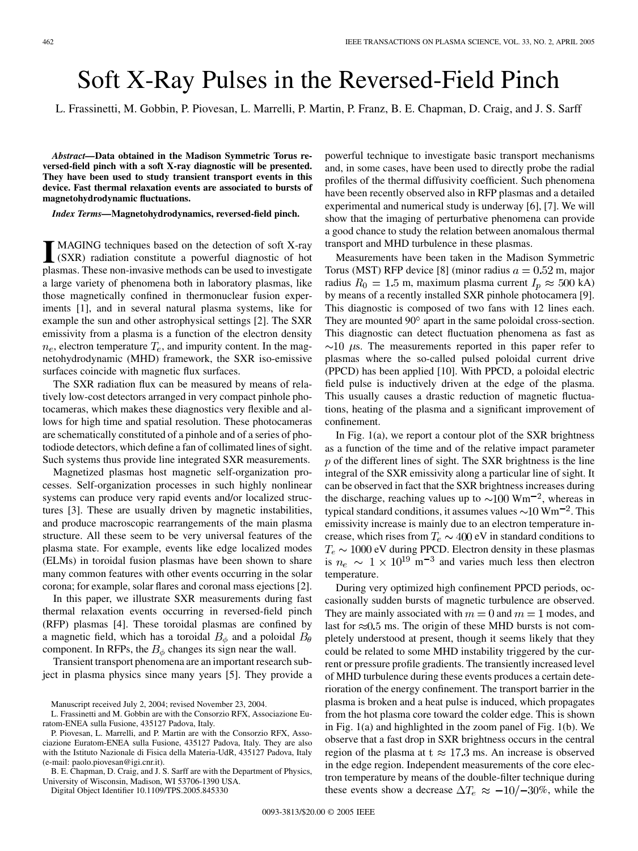## Soft X-Ray Pulses in the Reversed-Field Pinch

L. Frassinetti, M. Gobbin, P. Piovesan, L. Marrelli, P. Martin, P. Franz, B. E. Chapman, D. Craig, and J. S. Sarff

*Abstract—***Data obtained in the Madison Symmetric Torus reversed-field pinch with a soft X-ray diagnostic will be presented. They have been used to study transient transport events in this device. Fast thermal relaxation events are associated to bursts of magnetohydrodynamic fluctuations.**

## *Index Terms—***Magnetohydrodynamics, reversed-field pinch.**

**I** MAGING techniques based on the detection of soft X-ray (SXR) radiation constitute a powerful diagnostic of hot please These non investige methods can be used to investigate plasmas. These non-invasive methods can be used to investigate a large variety of phenomena both in laboratory plasmas, like those magnetically confined in thermonuclear fusion experiments [\[1](#page-1-0)], and in several natural plasma systems, like for example the sun and other astrophysical settings [[2\]](#page-1-0). The SXR emissivity from a plasma is a function of the electron density  $n_e$ , electron temperature  $T_e$ , and impurity content. In the magnetohydrodynamic (MHD) framework, the SXR iso-emissive surfaces coincide with magnetic flux surfaces.

The SXR radiation flux can be measured by means of relatively low-cost detectors arranged in very compact pinhole photocameras, which makes these diagnostics very flexible and allows for high time and spatial resolution. These photocameras are schematically constituted of a pinhole and of a series of photodiode detectors, which define a fan of collimated lines of sight. Such systems thus provide line integrated SXR measurements.

Magnetized plasmas host magnetic self-organization processes. Self-organization processes in such highly nonlinear systems can produce very rapid events and/or localized structures [\[3](#page-1-0)]. These are usually driven by magnetic instabilities, and produce macroscopic rearrangements of the main plasma structure. All these seem to be very universal features of the plasma state. For example, events like edge localized modes (ELMs) in toroidal fusion plasmas have been shown to share many common features with other events occurring in the solar corona; for example, solar flares and coronal mass ejections [[2\]](#page-1-0).

In this paper, we illustrate SXR measurements during fast thermal relaxation events occurring in reversed-field pinch (RFP) plasmas [[4\]](#page-1-0). These toroidal plasmas are confined by a magnetic field, which has a toroidal  $B_{\phi}$  and a poloidal  $B_{\theta}$ component. In RFPs, the  $B_{\phi}$  changes its sign near the wall.

Transient transport phenomena are an important research subject in plasma physics since many years [\[5](#page-1-0)]. They provide a

B. E. Chapman, D. Craig, and J. S. Sarff are with the Department of Physics, University of Wisconsin, Madison, WI 53706-1390 USA.

Digital Object Identifier 10.1109/TPS.2005.845330

powerful technique to investigate basic transport mechanisms and, in some cases, have been used to directly probe the radial profiles of the thermal diffusivity coefficient. Such phenomena have been recently observed also in RFP plasmas and a detailed experimental and numerical study is underway [\[6](#page-1-0)], [[7\]](#page-1-0). We will show that the imaging of perturbative phenomena can provide a good chance to study the relation between anomalous thermal transport and MHD turbulence in these plasmas.

Measurements have been taken in the Madison Symmetric Torus (MST) RFP device [[8\]](#page-1-0) (minor radius  $a = 0.52$  m, major radius  $R_0 = 1.5$  m, maximum plasma current  $I_p \approx 500$  kA) by means of a recently installed SXR pinhole photocamera [[9\]](#page-1-0). This diagnostic is composed of two fans with 12 lines each. They are mounted  $90^\circ$  apart in the same poloidal cross-section. This diagnostic can detect fluctuation phenomena as fast as  $\sim$ 10  $\mu$ s. The measurements reported in this paper refer to plasmas where the so-called pulsed poloidal current drive (PPCD) has been applied [\[10](#page-1-0)]. With PPCD, a poloidal electric field pulse is inductively driven at the edge of the plasma. This usually causes a drastic reduction of magnetic fluctuations, heating of the plasma and a significant improvement of confinement.

In Fig. 1(a), we report a contour plot of the SXR brightness as a function of the time and of the relative impact parameter  $p$  of the different lines of sight. The SXR brightness is the line integral of the SXR emissivity along a particular line of sight. It can be observed in fact that the SXR brightness increases during the discharge, reaching values up to  $\sim$ 100 Wm<sup>-2</sup>, whereas in typical standard conditions, it assumes values  $\sim$  10 Wm<sup>-2</sup>. This emissivity increase is mainly due to an electron temperature increase, which rises from  $T_e \sim 400$  eV in standard conditions to  $T_e \sim 1000$  eV during PPCD. Electron density in these plasmas is  $n_e \sim 1 \times 10^{19} \text{ m}^{-3}$  and varies much less then electron temperature.

During very optimized high confinement PPCD periods, occasionally sudden bursts of magnetic turbulence are observed. They are mainly associated with  $m = 0$  and  $m = 1$  modes, and last for  $\approx 0.5$  ms. The origin of these MHD bursts is not completely understood at present, though it seems likely that they could be related to some MHD instability triggered by the current or pressure profile gradients. The transiently increased level of MHD turbulence during these events produces a certain deterioration of the energy confinement. The transport barrier in the plasma is broken and a heat pulse is induced, which propagates from the hot plasma core toward the colder edge. This is shown in Fig. 1(a) and highlighted in the zoom panel of Fig. 1(b). We observe that a fast drop in SXR brightness occurs in the central region of the plasma at  $t \approx 17.3$  ms. An increase is observed in the edge region. Independent measurements of the core electron temperature by means of the double-filter technique during these events show a decrease  $\Delta T_e \approx -10/-30\%$ , while the

Manuscript received July 2, 2004; revised November 23, 2004.

L. Frassinetti and M. Gobbin are with the Consorzio RFX, Associazione Euratom-ENEA sulla Fusione, 435127 Padova, Italy.

P. Piovesan, L. Marrelli, and P. Martin are with the Consorzio RFX, Associazione Euratom-ENEA sulla Fusione, 435127 Padova, Italy. They are also with the Istituto Nazionale di Fisica della Materia-UdR, 435127 Padova, Italy (e-mail: paolo.piovesan@igi.cnr.it).